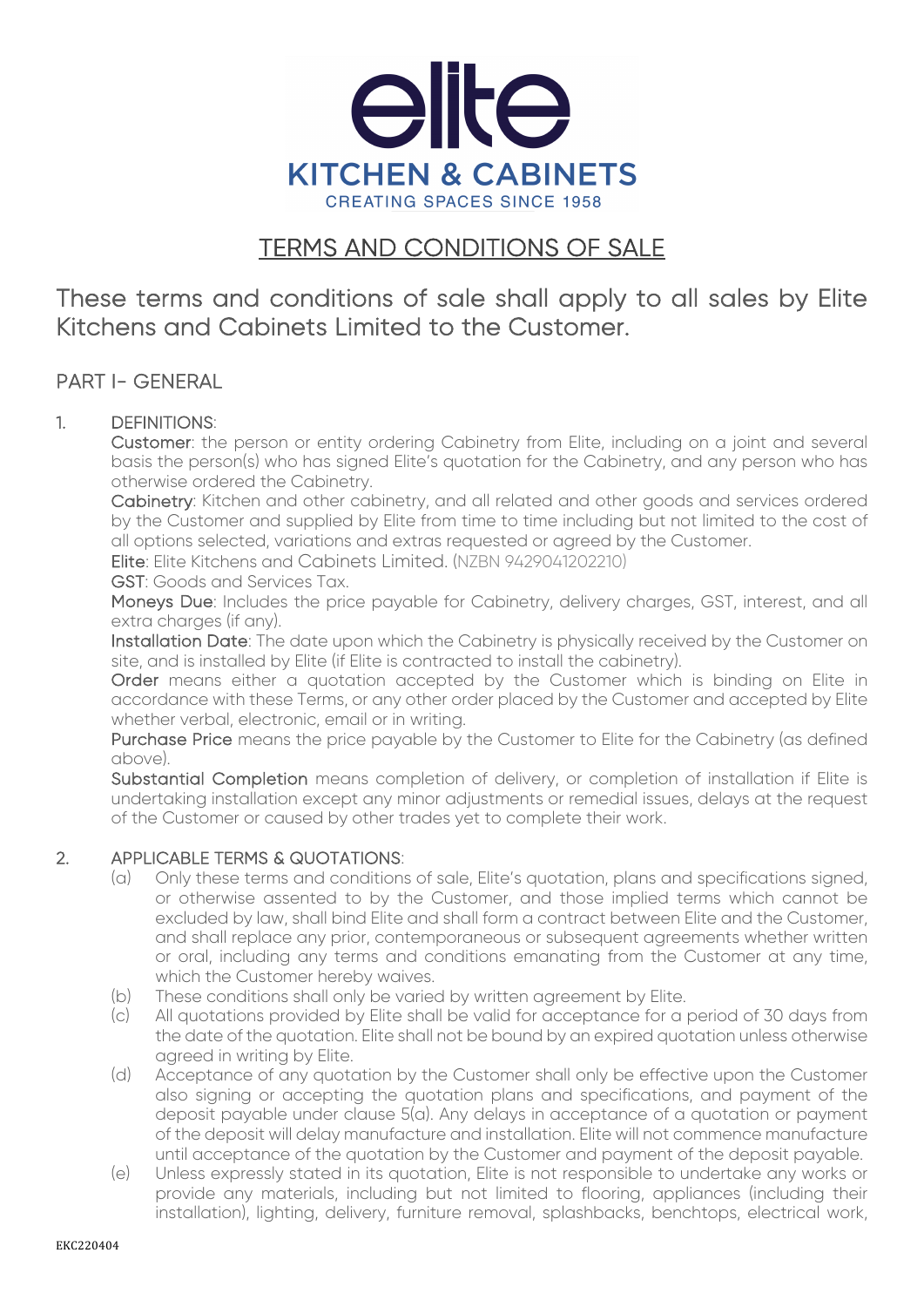

# TERMS AND CONDITIONS OF SALE

These terms and conditions of sale shall apply to all sales by Elite Kitchens and Cabinets Limited to the Customer.

### PART I- GENERAL

#### 1. DEFINITIONS:

Customer: the person or entity ordering Cabinetry from Elite, including on a joint and several basis the person(s) who has signed Elite's quotation for the Cabinetry, and any person who has otherwise ordered the Cabinetry.

Cabinetry: Kitchen and other cabinetry, and all related and other goods and services ordered by the Customer and supplied by Elite from time to time including but not limited to the cost of all options selected, variations and extras requested or agreed by the Customer.

Elite: Elite Kitchens and Cabinets Limited. (NZBN 9429041202210)

GST: Goods and Services Tax.

Moneys Due: Includes the price payable for Cabinetry, delivery charges, GST, interest, and all extra charges (if any).

Installation Date: The date upon which the Cabinetry is physically received by the Customer on site, and is installed by Elite (if Elite is contracted to install the cabinetry).

Order means either a quotation accepted by the Customer which is binding on Elite in accordance with these Terms, or any other order placed by the Customer and accepted by Elite whether verbal, electronic, email or in writing.

Purchase Price means the price payable by the Customer to Elite for the Cabinetry (as defined above).

Substantial Completion means completion of delivery, or completion of installation if Elite is undertaking installation except any minor adjustments or remedial issues, delays at the request of the Customer or caused by other trades yet to complete their work.

#### 2. APPLICABLE TERMS & QUOTATIONS:

- (a) Only these terms and conditions of sale, Elite's quotation, plans and specifications signed, or otherwise assented to by the Customer, and those implied terms which cannot be excluded by law, shall bind Elite and shall form a contract between Elite and the Customer, and shall replace any prior, contemporaneous or subsequent agreements whether written or oral, including any terms and conditions emanating from the Customer at any time, which the Customer hereby waives.
- (b) These conditions shall only be varied by written agreement by Elite.
- (c) All quotations provided by Elite shall be valid for acceptance for a period of 30 days from the date of the quotation. Elite shall not be bound by an expired quotation unless otherwise agreed in writing by Elite.
- (d) Acceptance of any quotation by the Customer shall only be effective upon the Customer also signing or accepting the quotation plans and specifications, and payment of the deposit payable under clause 5(a). Any delays in acceptance of a quotation or payment of the deposit will delay manufacture and installation. Elite will not commence manufacture until acceptance of the quotation by the Customer and payment of the deposit payable.
- (e) Unless expressly stated in its quotation, Elite is not responsible to undertake any works or provide any materials, including but not limited to flooring, appliances (including their installation), lighting, delivery, furniture removal, splashbacks, benchtops, electrical work,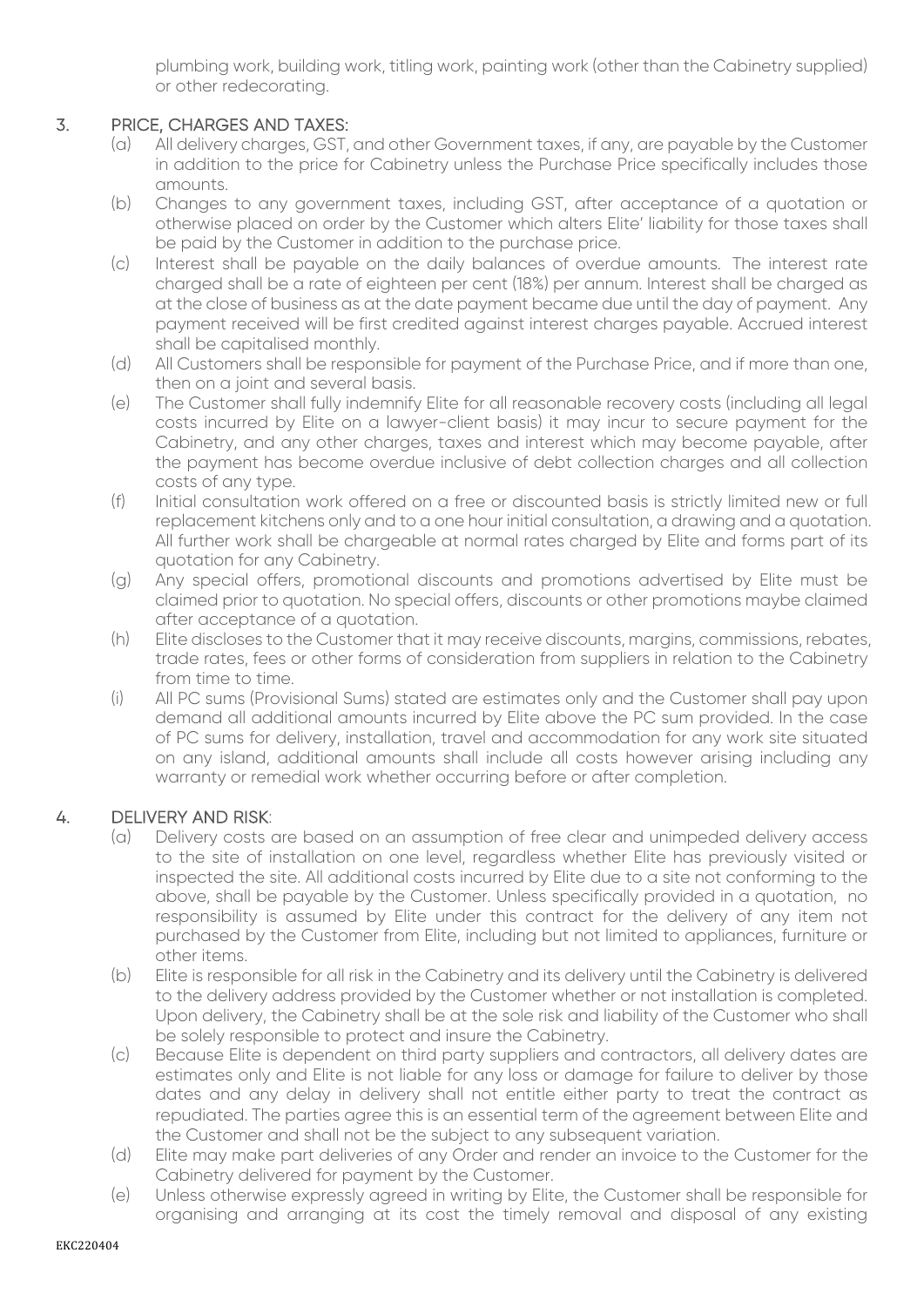plumbing work, building work, titling work, painting work (other than the Cabinetry supplied) or other redecorating.

#### 3. PRICE, CHARGES AND TAXES:

- (a) All delivery charges, GST, and other Government taxes, if any, are payable by the Customer in addition to the price for Cabinetry unless the Purchase Price specifically includes those amounts.
- (b) Changes to any government taxes, including GST, after acceptance of a quotation or otherwise placed on order by the Customer which alters Elite' liability for those taxes shall be paid by the Customer in addition to the purchase price.
- (c) Interest shall be payable on the daily balances of overdue amounts. The interest rate charged shall be a rate of eighteen per cent (18%) per annum. Interest shall be charged as at the close of business as at the date payment became due until the day of payment. Any payment received will be first credited against interest charges payable. Accrued interest shall be capitalised monthly.
- (d) All Customers shall be responsible for payment of the Purchase Price, and if more than one, then on a joint and several basis.
- (e) The Customer shall fully indemnify Elite for all reasonable recovery costs (including all legal costs incurred by Elite on a lawyer-client basis) it may incur to secure payment for the Cabinetry, and any other charges, taxes and interest which may become payable, after the payment has become overdue inclusive of debt collection charges and all collection costs of any type.
- (f) Initial consultation work offered on a free or discounted basis is strictly limited new or full replacement kitchens only and to a one hour initial consultation, a drawing and a quotation. All further work shall be chargeable at normal rates charged by Elite and forms part of its quotation for any Cabinetry.
- (g) Any special offers, promotional discounts and promotions advertised by Elite must be claimed prior to quotation. No special offers, discounts or other promotions maybe claimed after acceptance of a quotation.
- (h) Elite discloses to the Customer that it may receive discounts, margins, commissions, rebates, trade rates, fees or other forms of consideration from suppliers in relation to the Cabinetry from time to time.
- (i) All PC sums (Provisional Sums) stated are estimates only and the Customer shall pay upon demand all additional amounts incurred by Elite above the PC sum provided. In the case of PC sums for delivery, installation, travel and accommodation for any work site situated on any island, additional amounts shall include all costs however arising including any warranty or remedial work whether occurring before or after completion.

#### 4. DELIVERY AND RISK:

- (a) Delivery costs are based on an assumption of free clear and unimpeded delivery access to the site of installation on one level, regardless whether Elite has previously visited or inspected the site. All additional costs incurred by Elite due to a site not conforming to the above, shall be payable by the Customer. Unless specifically provided in a quotation, no responsibility is assumed by Elite under this contract for the delivery of any item not purchased by the Customer from Elite, including but not limited to appliances, furniture or other items.
- (b) Elite is responsible for all risk in the Cabinetry and its delivery until the Cabinetry is delivered to the delivery address provided by the Customer whether or not installation is completed. Upon delivery, the Cabinetry shall be at the sole risk and liability of the Customer who shall be solely responsible to protect and insure the Cabinetry.
- (c) Because Elite is dependent on third party suppliers and contractors, all delivery dates are estimates only and Elite is not liable for any loss or damage for failure to deliver by those dates and any delay in delivery shall not entitle either party to treat the contract as repudiated. The parties agree this is an essential term of the agreement between Elite and the Customer and shall not be the subject to any subsequent variation.
- (d) Elite may make part deliveries of any Order and render an invoice to the Customer for the Cabinetry delivered for payment by the Customer.
- (e) Unless otherwise expressly agreed in writing by Elite, the Customer shall be responsible for organising and arranging at its cost the timely removal and disposal of any existing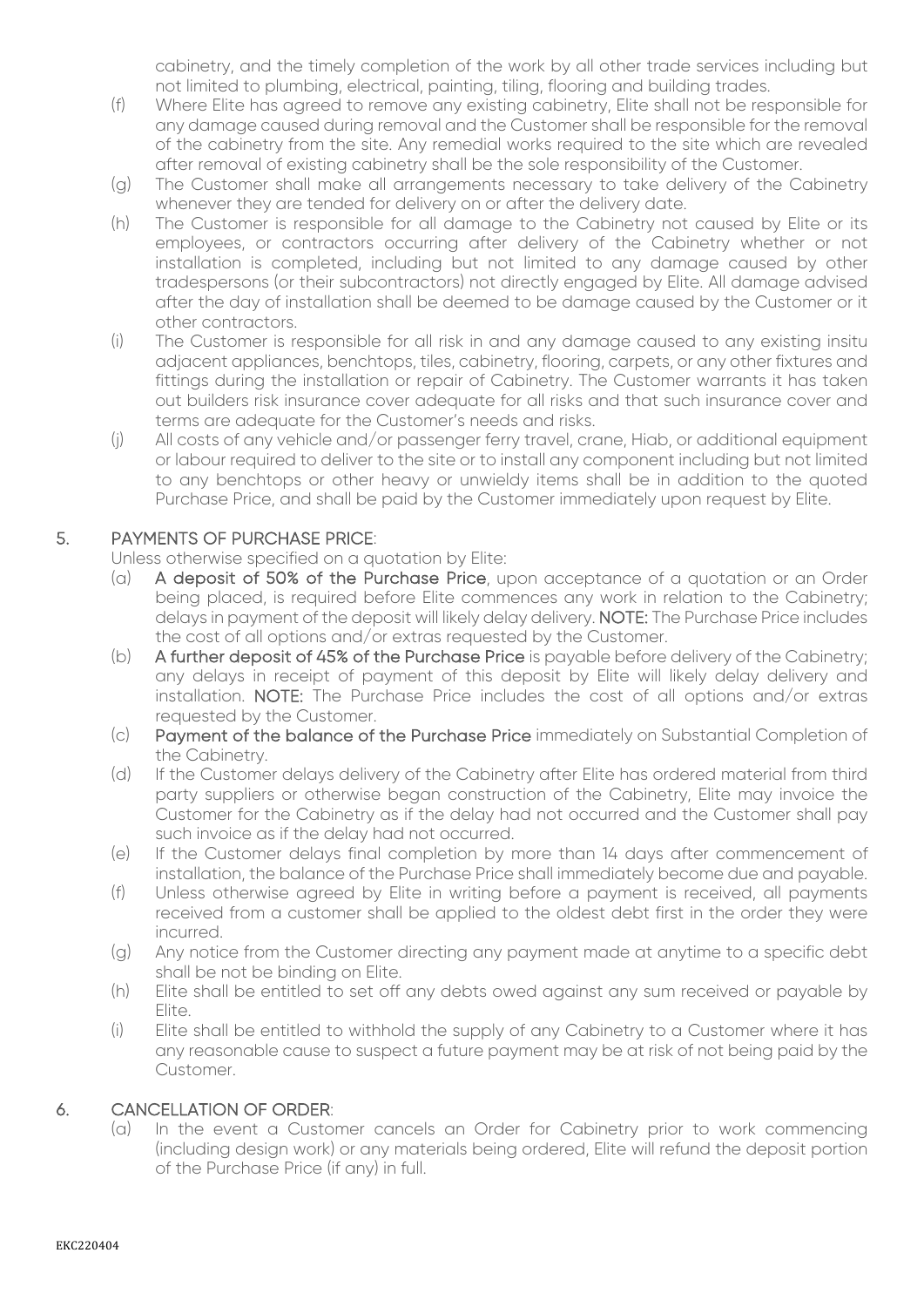cabinetry, and the timely completion of the work by all other trade services including but not limited to plumbing, electrical, painting, tiling, flooring and building trades.

- (f) Where Elite has agreed to remove any existing cabinetry, Elite shall not be responsible for any damage caused during removal and the Customer shall be responsible for the removal of the cabinetry from the site. Any remedial works required to the site which are revealed after removal of existing cabinetry shall be the sole responsibility of the Customer.
- (g) The Customer shall make all arrangements necessary to take delivery of the Cabinetry whenever they are tended for delivery on or after the delivery date.
- (h) The Customer is responsible for all damage to the Cabinetry not caused by Elite or its employees, or contractors occurring after delivery of the Cabinetry whether or not installation is completed, including but not limited to any damage caused by other tradespersons (or their subcontractors) not directly engaged by Elite. All damage advised after the day of installation shall be deemed to be damage caused by the Customer or it other contractors.
- (i) The Customer is responsible for all risk in and any damage caused to any existing insitu adjacent appliances, benchtops, tiles, cabinetry, flooring, carpets, or any other fixtures and fittings during the installation or repair of Cabinetry. The Customer warrants it has taken out builders risk insurance cover adequate for all risks and that such insurance cover and terms are adequate for the Customer's needs and risks.
- (j) All costs of any vehicle and/or passenger ferry travel, crane, Hiab, or additional equipment or labour required to deliver to the site or to install any component including but not limited to any benchtops or other heavy or unwieldy items shall be in addition to the quoted Purchase Price, and shall be paid by the Customer immediately upon request by Elite.

#### 5. PAYMENTS OF PURCHASE PRICE:

Unless otherwise specified on a quotation by Elite:

- (a) A deposit of 50% of the Purchase Price, upon acceptance of a quotation or an Order being placed, is required before Elite commences any work in relation to the Cabinetry; delays in payment of the deposit will likely delay delivery. NOTE: The Purchase Price includes the cost of all options and/or extras requested by the Customer.
- (b) A further deposit of 45% of the Purchase Price is payable before delivery of the Cabinetry; any delays in receipt of payment of this deposit by Elite will likely delay delivery and installation. NOTE: The Purchase Price includes the cost of all options and/or extras requested by the Customer.
- (c) Payment of the balance of the Purchase Price immediately on Substantial Completion of the Cabinetry.
- (d) If the Customer delays delivery of the Cabinetry after Elite has ordered material from third party suppliers or otherwise began construction of the Cabinetry, Elite may invoice the Customer for the Cabinetry as if the delay had not occurred and the Customer shall pay such invoice as if the delay had not occurred.
- (e) If the Customer delays final completion by more than 14 days after commencement of installation, the balance of the Purchase Price shall immediately become due and payable.
- (f) Unless otherwise agreed by Elite in writing before a payment is received, all payments received from a customer shall be applied to the oldest debt first in the order they were incurred.
- (g) Any notice from the Customer directing any payment made at anytime to a specific debt shall be not be binding on Elite.
- (h) Elite shall be entitled to set off any debts owed against any sum received or payable by Elite.
- (i) Elite shall be entitled to withhold the supply of any Cabinetry to a Customer where it has any reasonable cause to suspect a future payment may be at risk of not being paid by the Customer.

#### 6. CANCELLATION OF ORDER:

(a) In the event a Customer cancels an Order for Cabinetry prior to work commencing (including design work) or any materials being ordered, Elite will refund the deposit portion of the Purchase Price (if any) in full.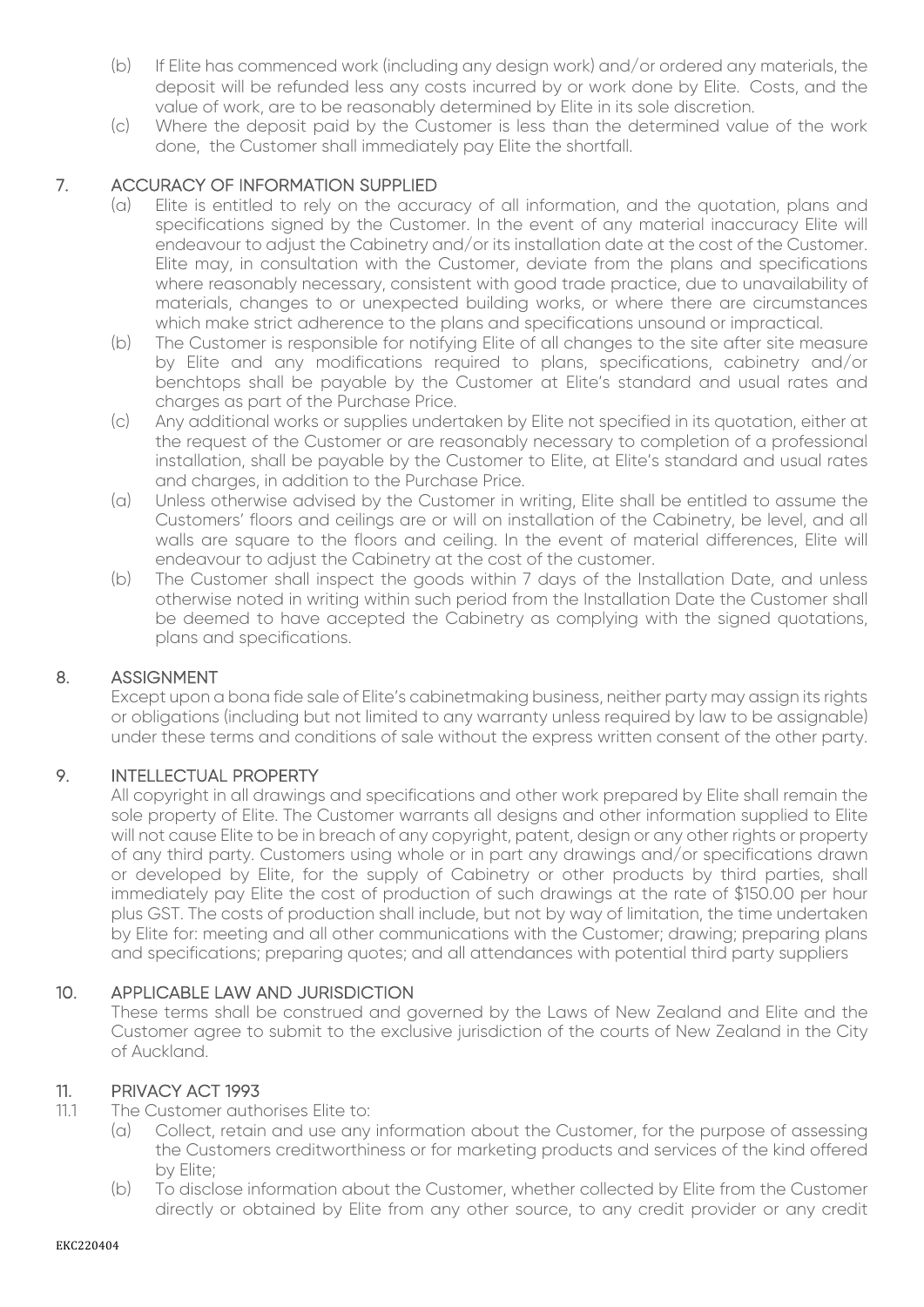- (b) If Elite has commenced work (including any design work) and/or ordered any materials, the deposit will be refunded less any costs incurred by or work done by Elite. Costs, and the value of work, are to be reasonably determined by Elite in its sole discretion.
- (c) Where the deposit paid by the Customer is less than the determined value of the work done, the Customer shall immediately pay Elite the shortfall.

#### 7. ACCURACY OF INFORMATION SUPPLIED

- (a) Elite is entitled to rely on the accuracy of all information, and the quotation, plans and specifications signed by the Customer. In the event of any material inaccuracy Elite will endeavour to adjust the Cabinetry and/or its installation date at the cost of the Customer. Elite may, in consultation with the Customer, deviate from the plans and specifications where reasonably necessary, consistent with good trade practice, due to unavailability of materials, changes to or unexpected building works, or where there are circumstances which make strict adherence to the plans and specifications unsound or impractical.
- (b) The Customer is responsible for notifying Elite of all changes to the site after site measure by Elite and any modifications required to plans, specifications, cabinetry and/or benchtops shall be payable by the Customer at Elite's standard and usual rates and charges as part of the Purchase Price.
- (c) Any additional works or supplies undertaken by Elite not specified in its quotation, either at the request of the Customer or are reasonably necessary to completion of a professional installation, shall be payable by the Customer to Elite, at Elite's standard and usual rates and charges, in addition to the Purchase Price.
- (a) Unless otherwise advised by the Customer in writing, Elite shall be entitled to assume the Customers' floors and ceilings are or will on installation of the Cabinetry, be level, and all walls are square to the floors and ceiling. In the event of material differences, Elite will endeavour to adjust the Cabinetry at the cost of the customer.
- (b) The Customer shall inspect the goods within 7 days of the Installation Date, and unless otherwise noted in writing within such period from the Installation Date the Customer shall be deemed to have accepted the Cabinetry as complying with the signed quotations, plans and specifications.

#### 8. ASSIGNMENT

Except upon a bona fide sale of Elite's cabinetmaking business, neither party may assign its rights or obligations (including but not limited to any warranty unless required by law to be assignable) under these terms and conditions of sale without the express written consent of the other party.

#### 9. INTELLECTUAL PROPERTY

All copyright in all drawings and specifications and other work prepared by Elite shall remain the sole property of Elite. The Customer warrants all designs and other information supplied to Elite will not cause Elite to be in breach of any copyright, patent, design or any other rights or property of any third party. Customers using whole or in part any drawings and/or specifications drawn or developed by Elite, for the supply of Cabinetry or other products by third parties, shall immediately pay Elite the cost of production of such drawings at the rate of \$150.00 per hour plus GST. The costs of production shall include, but not by way of limitation, the time undertaken by Elite for: meeting and all other communications with the Customer; drawing; preparing plans and specifications; preparing quotes; and all attendances with potential third party suppliers

#### 10. APPLICABLE LAW AND JURISDICTION

These terms shall be construed and governed by the Laws of New Zealand and Elite and the Customer agree to submit to the exclusive jurisdiction of the courts of New Zealand in the City of Auckland.

#### 11. PRIVACY ACT 1993

- 11.1 The Customer authorises Elite to:
	- (a) Collect, retain and use any information about the Customer, for the purpose of assessing the Customers creditworthiness or for marketing products and services of the kind offered by Elite;
	- (b) To disclose information about the Customer, whether collected by Elite from the Customer directly or obtained by Elite from any other source, to any credit provider or any credit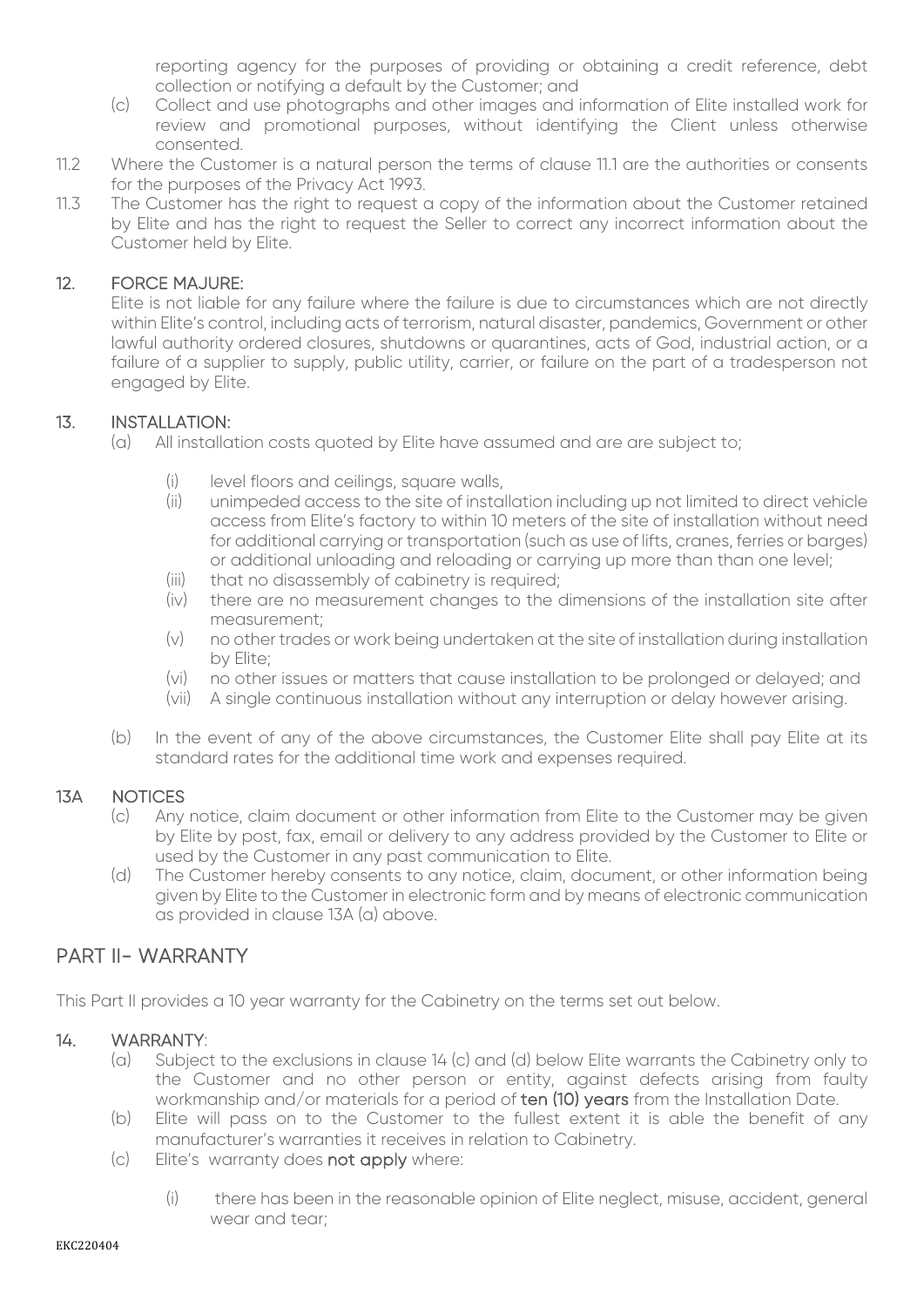reporting agency for the purposes of providing or obtaining a credit reference, debt collection or notifying a default by the Customer; and

- (c) Collect and use photographs and other images and information of Elite installed work for review and promotional purposes, without identifying the Client unless otherwise consented.
- 11.2 Where the Customer is a natural person the terms of clause 11.1 are the authorities or consents for the purposes of the Privacy Act 1993.
- 11.3 The Customer has the right to request a copy of the information about the Customer retained by Elite and has the right to request the Seller to correct any incorrect information about the Customer held by Elite.

#### 12. FORCE MAJURE:

Elite is not liable for any failure where the failure is due to circumstances which are not directly within Elite's control, including acts of terrorism, natural disaster, pandemics, Government or other lawful authority ordered closures, shutdowns or quarantines, acts of God, industrial action, or a failure of a supplier to supply, public utility, carrier, or failure on the part of a tradesperson not engaged by Elite.

#### 13. INSTALLATION:

- (a) All installation costs quoted by Elite have assumed and are are subject to;
	- (i) level floors and ceilings, square walls,
	- (ii) unimpeded access to the site of installation including up not limited to direct vehicle access from Elite's factory to within 10 meters of the site of installation without need for additional carrying or transportation (such as use of lifts, cranes, ferries or barges) or additional unloading and reloading or carrying up more than than one level;
	- (iii) that no disassembly of cabinetry is required;
	- (iv) there are no measurement changes to the dimensions of the installation site after measurement;
	- (v) no other trades or work being undertaken at the site of installation during installation by Elite;
	- (vi) no other issues or matters that cause installation to be prolonged or delayed; and
	- (vii) A single continuous installation without any interruption or delay however arising.
- (b) In the event of any of the above circumstances, the Customer Elite shall pay Elite at its standard rates for the additional time work and expenses required.

#### 13A NOTICES

- (c) Any notice, claim document or other information from Elite to the Customer may be given by Elite by post, fax, email or delivery to any address provided by the Customer to Elite or used by the Customer in any past communication to Elite.
- (d) The Customer hereby consents to any notice, claim, document, or other information being given by Elite to the Customer in electronic form and by means of electronic communication as provided in clause 13A (a) above.

## PART II- WARRANTY

This Part II provides a 10 year warranty for the Cabinetry on the terms set out below.

#### 14. WARRANTY:

- (a) Subject to the exclusions in clause 14 (c) and (d) below Elite warrants the Cabinetry only to the Customer and no other person or entity, against defects arising from faulty workmanship and/or materials for a period of ten (10) years from the Installation Date.
- (b) Elite will pass on to the Customer to the fullest extent it is able the benefit of any manufacturer's warranties it receives in relation to Cabinetry.
- (c) Elite's warranty does not apply where:
	- (i) there has been in the reasonable opinion of Elite neglect, misuse, accident, general wear and tear;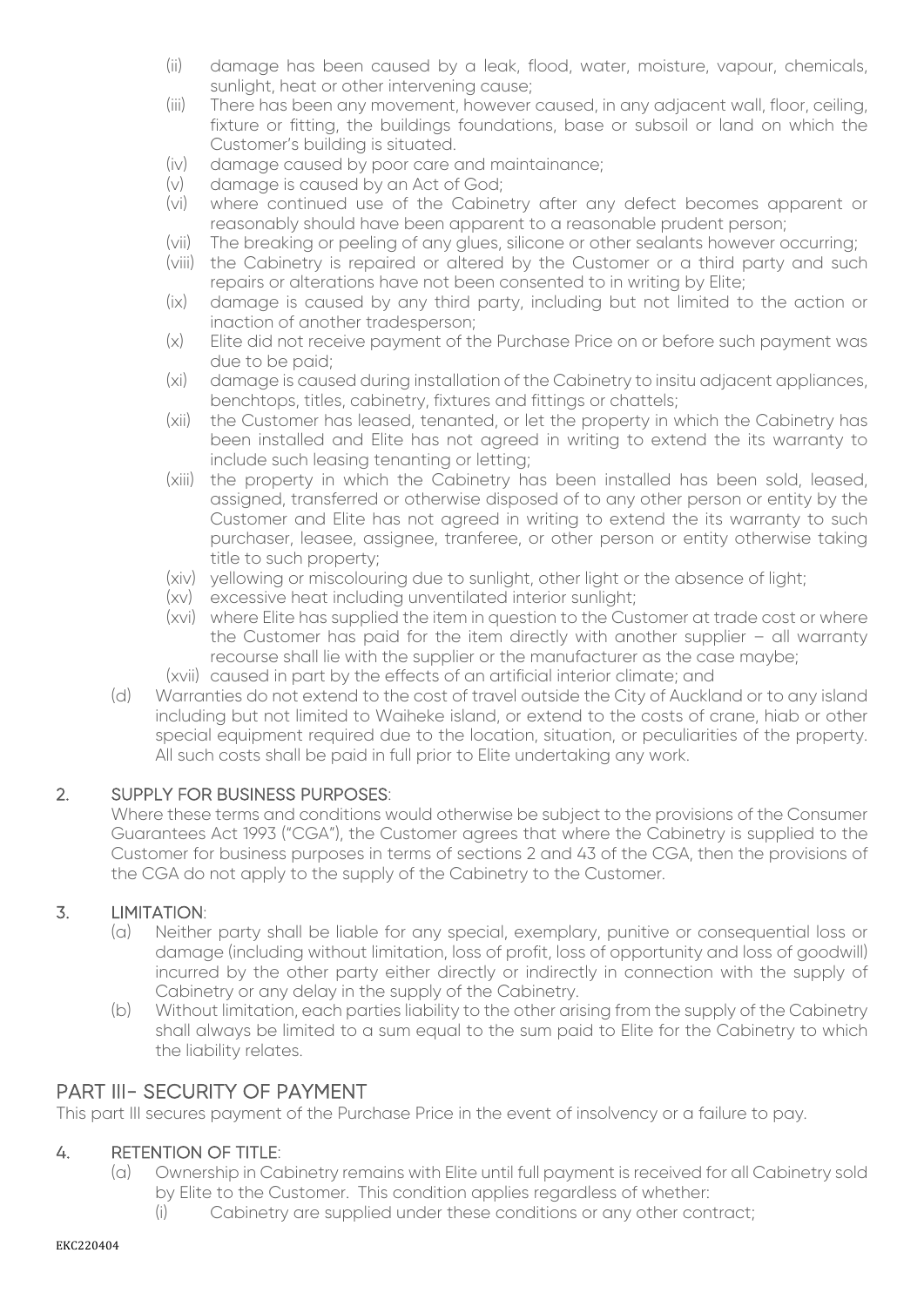- (ii) damage has been caused by a leak, flood, water, moisture, vapour, chemicals, sunlight, heat or other intervening cause;
- (iii) There has been any movement, however caused, in any adjacent wall, floor, ceiling, fixture or fitting, the buildings foundations, base or subsoil or land on which the Customer's building is situated.
- (iv) damage caused by poor care and maintainance;
- (v) damage is caused by an Act of God;
- (vi) where continued use of the Cabinetry after any defect becomes apparent or reasonably should have been apparent to a reasonable prudent person;
- (vii) The breaking or peeling of any glues, silicone or other sealants however occurring;
- (viii) the Cabinetry is repaired or altered by the Customer or a third party and such repairs or alterations have not been consented to in writing by Elite;
- (ix) damage is caused by any third party, including but not limited to the action or inaction of another tradesperson;
- (x) Elite did not receive payment of the Purchase Price on or before such payment was due to be paid;
- (xi) damage is caused during installation of the Cabinetry to insitu adjacent appliances, benchtops, titles, cabinetry, fixtures and fittings or chattels;
- (xii) the Customer has leased, tenanted, or let the property in which the Cabinetry has been installed and Elite has not agreed in writing to extend the its warranty to include such leasing tenanting or letting;
- (xiii) the property in which the Cabinetry has been installed has been sold, leased, assigned, transferred or otherwise disposed of to any other person or entity by the Customer and Elite has not agreed in writing to extend the its warranty to such purchaser, leasee, assignee, tranferee, or other person or entity otherwise taking title to such property;
- (xiv) yellowing or miscolouring due to sunlight, other light or the absence of light;
- (xv) excessive heat including unventilated interior sunlight;
- (xvi) where Elite has supplied the item in question to the Customer at trade cost or where the Customer has paid for the item directly with another supplier – all warranty recourse shall lie with the supplier or the manufacturer as the case maybe;
- (xvii) caused in part by the effects of an artificial interior climate; and
- (d) Warranties do not extend to the cost of travel outside the City of Auckland or to any island including but not limited to Waiheke island, or extend to the costs of crane, hiab or other special equipment required due to the location, situation, or peculiarities of the property. All such costs shall be paid in full prior to Elite undertaking any work.

#### 2. SUPPLY FOR BUSINESS PURPOSES:

Where these terms and conditions would otherwise be subject to the provisions of the Consumer Guarantees Act 1993 ("CGA"), the Customer agrees that where the Cabinetry is supplied to the Customer for business purposes in terms of sections 2 and 43 of the CGA, then the provisions of the CGA do not apply to the supply of the Cabinetry to the Customer.

#### 3. LIMITATION:

- (a) Neither party shall be liable for any special, exemplary, punitive or consequential loss or damage (including without limitation, loss of profit, loss of opportunity and loss of goodwill) incurred by the other party either directly or indirectly in connection with the supply of Cabinetry or any delay in the supply of the Cabinetry.
- (b) Without limitation, each parties liability to the other arising from the supply of the Cabinetry shall always be limited to a sum equal to the sum paid to Elite for the Cabinetry to which the liability relates.

#### PART III- SECURITY OF PAYMENT

This part III secures payment of the Purchase Price in the event of insolvency or a failure to pay.

#### 4. RETENTION OF TITLE:

- (a) Ownership in Cabinetry remains with Elite until full payment is received for all Cabinetry sold by Elite to the Customer. This condition applies regardless of whether:
	- (i) Cabinetry are supplied under these conditions or any other contract;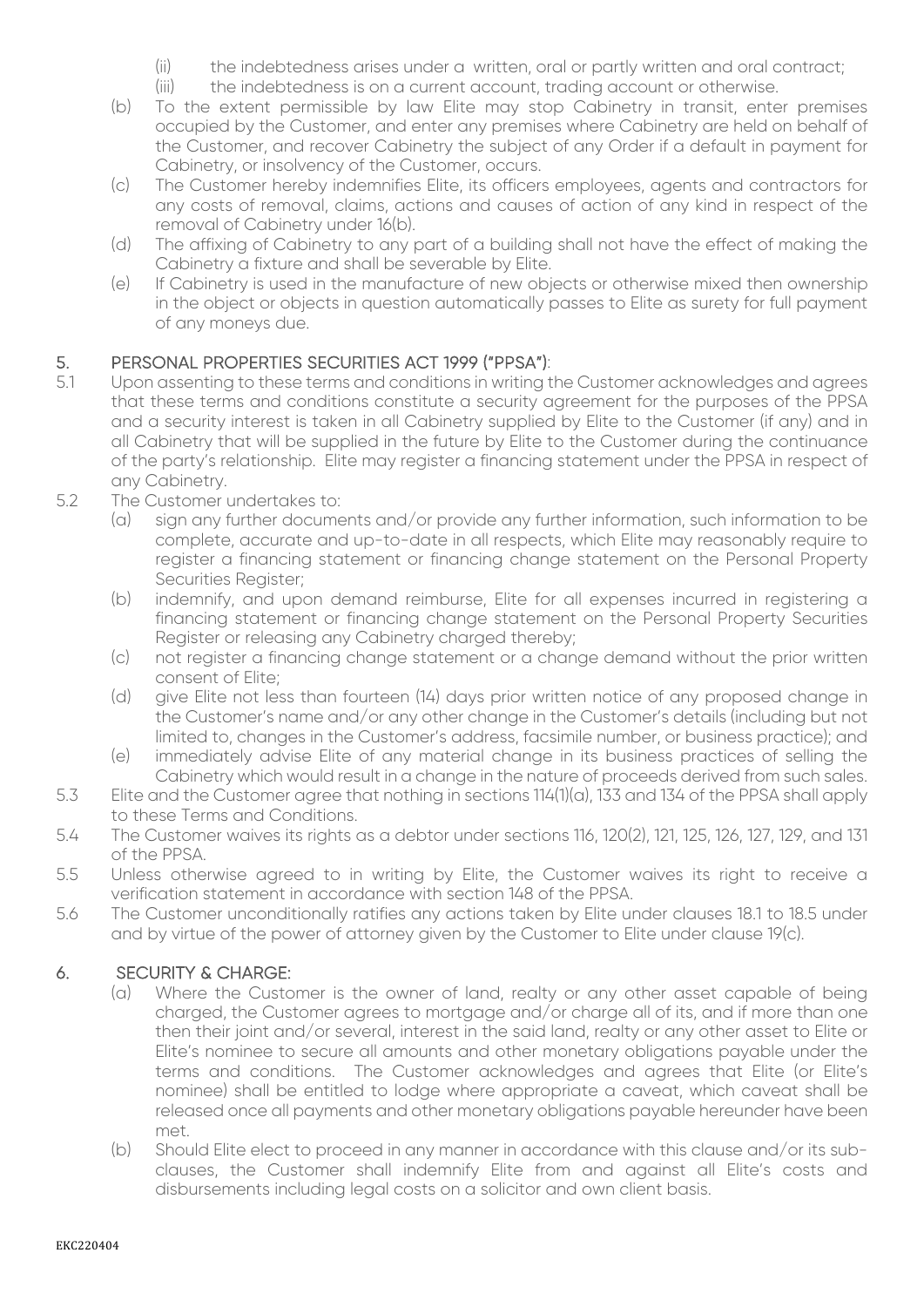- (ii) the indebtedness arises under a written, oral or partly written and oral contract;
- (iii) the indebtedness is on a current account, trading account or otherwise.
- (b) To the extent permissible by law Elite may stop Cabinetry in transit, enter premises occupied by the Customer, and enter any premises where Cabinetry are held on behalf of the Customer, and recover Cabinetry the subject of any Order if a default in payment for Cabinetry, or insolvency of the Customer, occurs.
- (c) The Customer hereby indemnifies Elite, its officers employees, agents and contractors for any costs of removal, claims, actions and causes of action of any kind in respect of the removal of Cabinetry under 16(b).
- (d) The affixing of Cabinetry to any part of a building shall not have the effect of making the Cabinetry a fixture and shall be severable by Elite.
- (e) If Cabinetry is used in the manufacture of new objects or otherwise mixed then ownership in the object or objects in question automatically passes to Elite as surety for full payment of any moneys due.

# 5. PERSONAL PROPERTIES SECURITIES ACT 1999 ("PPSA"):<br>5.1 Upon assenting to these terms and conditions in writing t

- Upon assenting to these terms and conditions in writing the Customer acknowledges and agrees that these terms and conditions constitute a security agreement for the purposes of the PPSA and a security interest is taken in all Cabinetry supplied by Elite to the Customer (if any) and in all Cabinetry that will be supplied in the future by Elite to the Customer during the continuance of the party's relationship. Elite may register a financing statement under the PPSA in respect of any Cabinetry.
- 5.2 The Customer undertakes to:
	- (a) sign any further documents and/or provide any further information, such information to be complete, accurate and up-to-date in all respects, which Elite may reasonably require to register a financing statement or financing change statement on the Personal Property Securities Register;
	- (b) indemnify, and upon demand reimburse, Elite for all expenses incurred in registering a financing statement or financing change statement on the Personal Property Securities Register or releasing any Cabinetry charged thereby;
	- (c) not register a financing change statement or a change demand without the prior written consent of Elite;
	- (d) give Elite not less than fourteen (14) days prior written notice of any proposed change in the Customer's name and/or any other change in the Customer's details (including but not limited to, changes in the Customer's address, facsimile number, or business practice); and
	- (e) immediately advise Elite of any material change in its business practices of selling the Cabinetry which would result in a change in the nature of proceeds derived from such sales.
- 5.3 Elite and the Customer agree that nothing in sections 114(1)(a), 133 and 134 of the PPSA shall apply to these Terms and Conditions.
- 5.4 The Customer waives its rights as a debtor under sections 116, 120(2), 121, 125, 126, 127, 129, and 131 of the PPSA.
- 5.5 Unless otherwise agreed to in writing by Elite, the Customer waives its right to receive a verification statement in accordance with section 148 of the PPSA.
- 5.6 The Customer unconditionally ratifies any actions taken by Elite under clauses 18.1 to 18.5 under and by virtue of the power of attorney given by the Customer to Elite under clause 19(c).

#### 6. SECURITY & CHARGE:

- (a) Where the Customer is the owner of land, realty or any other asset capable of being charged, the Customer agrees to mortgage and/or charge all of its, and if more than one then their joint and/or several, interest in the said land, realty or any other asset to Elite or Elite's nominee to secure all amounts and other monetary obligations payable under the terms and conditions. The Customer acknowledges and agrees that Elite (or Elite's nominee) shall be entitled to lodge where appropriate a caveat, which caveat shall be released once all payments and other monetary obligations payable hereunder have been met.
- (b) Should Elite elect to proceed in any manner in accordance with this clause and/or its subclauses, the Customer shall indemnify Elite from and against all Elite's costs and disbursements including legal costs on a solicitor and own client basis.